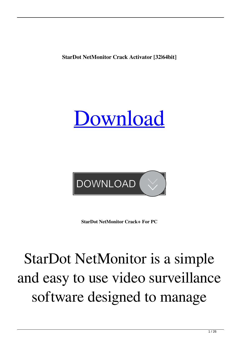**StarDot NetMonitor Crack Activator [32|64bit]**





**StarDot NetMonitor Crack+ For PC**

## StarDot NetMonitor is a simple and easy to use video surveillance software designed to manage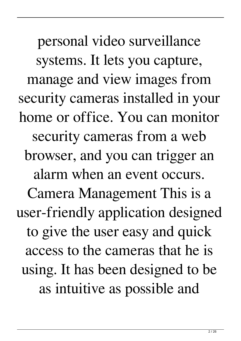personal video surveillance systems. It lets you capture, manage and view images from security cameras installed in your home or office. You can monitor security cameras from a web browser, and you can trigger an alarm when an event occurs. Camera Management This is a user-friendly application designed to give the user easy and quick access to the cameras that he is using. It has been designed to be as intuitive as possible and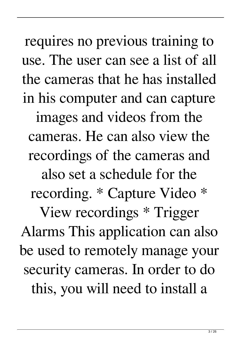requires no previous training to use. The user can see a list of all the cameras that he has installed in his computer and can capture images and videos from the cameras. He can also view the recordings of the cameras and also set a schedule for the recording. \* Capture Video \* View recordings \* Trigger Alarms This application can also be used to remotely manage your security cameras. In order to do this, you will need to install a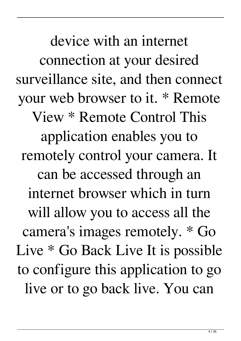device with an internet connection at your desired surveillance site, and then connect your web browser to it. \* Remote View \* Remote Control This application enables you to remotely control your camera. It can be accessed through an internet browser which in turn will allow you to access all the camera's images remotely. \* Go Live \* Go Back Live It is possible to configure this application to go live or to go back live. You can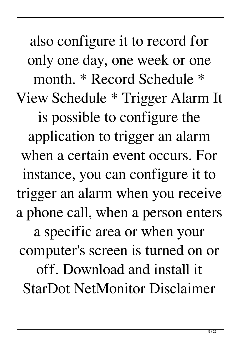also configure it to record for only one day, one week or one month. \* Record Schedule \* View Schedule \* Trigger Alarm It is possible to configure the application to trigger an alarm when a certain event occurs. For instance, you can configure it to trigger an alarm when you receive a phone call, when a person enters a specific area or when your computer's screen is turned on or off. Download and install it StarDot NetMonitor Disclaimer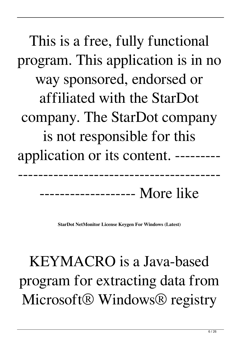This is a free, fully functional program. This application is in no way sponsored, endorsed or affiliated with the StarDot company. The StarDot company is not responsible for this application or its content. ---------

------------------- More like

**StarDot NetMonitor License Keygen For Windows (Latest)**

----------------------------------------

KEYMACRO is a Java-based program for extracting data from Microsoft<sup>®</sup> Windows<sup>®</sup> registry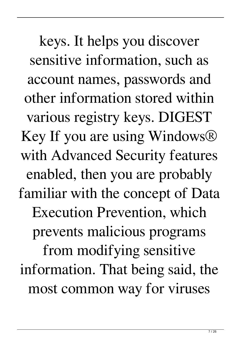keys. It helps you discover sensitive information, such as account names, passwords and other information stored within various registry keys. DIGEST Key If you are using Windows® with Advanced Security features enabled, then you are probably familiar with the concept of Data Execution Prevention, which prevents malicious programs from modifying sensitive information. That being said, the most common way for viruses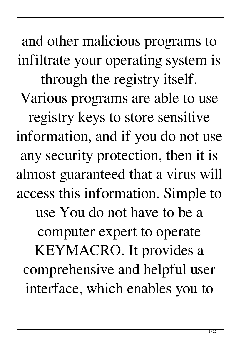and other malicious programs to infiltrate your operating system is through the registry itself. Various programs are able to use registry keys to store sensitive information, and if you do not use any security protection, then it is almost guaranteed that a virus will access this information. Simple to use You do not have to be a computer expert to operate KEYMACRO. It provides a comprehensive and helpful user interface, which enables you to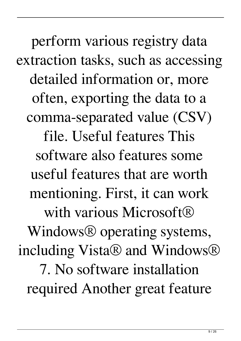perform various registry data extraction tasks, such as accessing detailed information or, more often, exporting the data to a comma-separated value (CSV) file. Useful features This software also features some useful features that are worth mentioning. First, it can work with various Microsoft<sup>®</sup> Windows® operating systems, including Vista® and Windows® 7. No software installation required Another great feature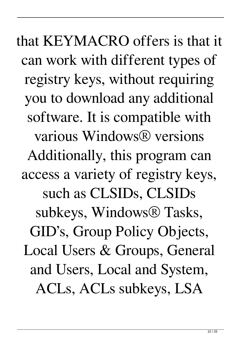that KEYMACRO offers is that it can work with different types of registry keys, without requiring you to download any additional software. It is compatible with various Windows® versions Additionally, this program can access a variety of registry keys, such as CLSIDs, CLSIDs subkeys, Windows® Tasks, GID's, Group Policy Objects, Local Users & Groups, General and Users, Local and System, ACLs, ACLs subkeys, LSA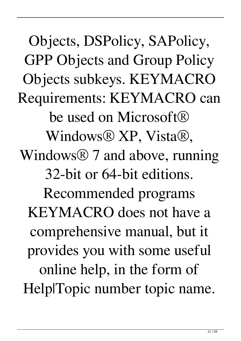Objects, DSPolicy, SAPolicy, GPP Objects and Group Policy Objects subkeys. KEYMACRO Requirements: KEYMACRO can be used on Microsoft<sup>®</sup> Windows® XP, Vista®, Windows<sup>®</sup> 7 and above, running 32-bit or 64-bit editions. Recommended programs KEYMACRO does not have a comprehensive manual, but it provides you with some useful online help, in the form of Help|Topic number topic name.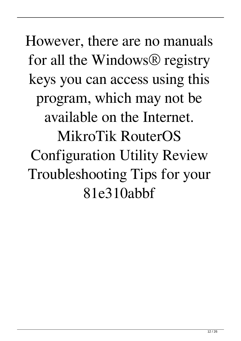However, there are no manuals for all the Windows® registry keys you can access using this program, which may not be available on the Internet. MikroTik RouterOS Configuration Utility Review Troubleshooting Tips for your 81e310abbf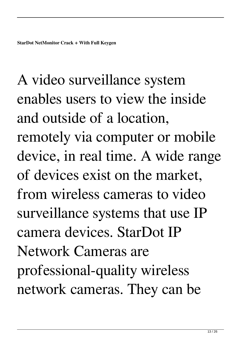A video surveillance system enables users to view the inside and outside of a location, remotely via computer or mobile device, in real time. A wide range of devices exist on the market, from wireless cameras to video surveillance systems that use IP camera devices. StarDot IP Network Cameras are professional-quality wireless network cameras. They can be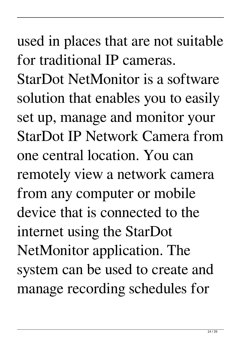used in places that are not suitable for traditional IP cameras. StarDot NetMonitor is a software solution that enables you to easily set up, manage and monitor your StarDot IP Network Camera from one central location. You can remotely view a network camera from any computer or mobile device that is connected to the internet using the StarDot NetMonitor application. The system can be used to create and manage recording schedules for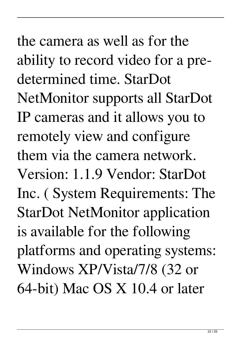the camera as well as for the ability to record video for a predetermined time. StarDot NetMonitor supports all StarDot IP cameras and it allows you to remotely view and configure them via the camera network. Version: 1.1.9 Vendor: StarDot Inc. ( System Requirements: The StarDot NetMonitor application is available for the following platforms and operating systems: Windows XP/Vista/7/8 (32 or 64-bit) Mac OS X 10.4 or later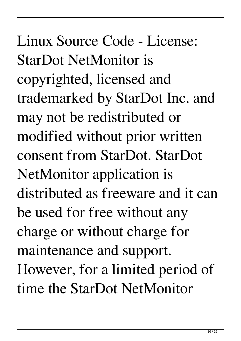Linux Source Code - License: StarDot NetMonitor is copyrighted, licensed and trademarked by StarDot Inc. and may not be redistributed or modified without prior written consent from StarDot. StarDot NetMonitor application is distributed as freeware and it can be used for free without any charge or without charge for maintenance and support. However, for a limited period of time the StarDot NetMonitor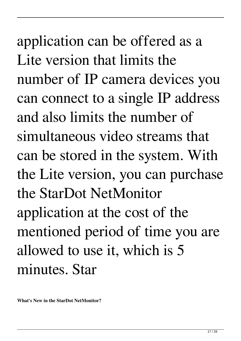application can be offered as a Lite version that limits the number of IP camera devices you can connect to a single IP address and also limits the number of simultaneous video streams that can be stored in the system. With the Lite version, you can purchase the StarDot NetMonitor application at the cost of the mentioned period of time you are allowed to use it, which is 5 minutes. Star

**What's New in the StarDot NetMonitor?**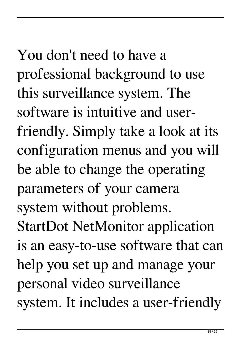# You don't need to have a

professional background to use this surveillance system. The software is intuitive and userfriendly. Simply take a look at its configuration menus and you will be able to change the operating parameters of your camera system without problems. StartDot NetMonitor application is an easy-to-use software that can help you set up and manage your personal video surveillance system. It includes a user-friendly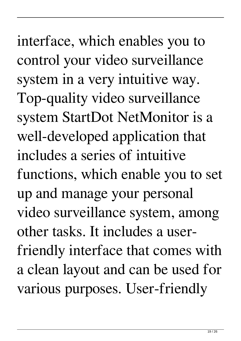interface, which enables you to control your video surveillance system in a very intuitive way. Top-quality video surveillance system StartDot NetMonitor is a well-developed application that includes a series of intuitive functions, which enable you to set up and manage your personal video surveillance system, among other tasks. It includes a userfriendly interface that comes with a clean layout and can be used for various purposes. User-friendly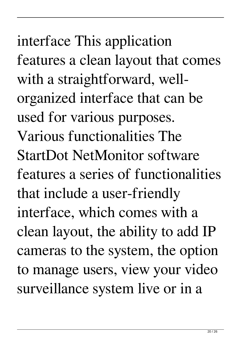interface This application features a clean layout that comes with a straightforward, wellorganized interface that can be used for various purposes. Various functionalities The StartDot NetMonitor software features a series of functionalities that include a user-friendly interface, which comes with a clean layout, the ability to add IP cameras to the system, the option to manage users, view your video surveillance system live or in a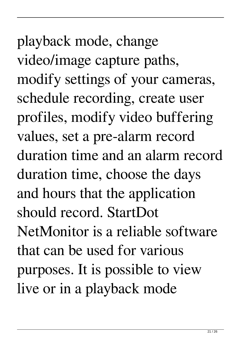playback mode, change video/image capture paths, modify settings of your cameras, schedule recording, create user profiles, modify video buffering values, set a pre-alarm record duration time and an alarm record duration time, choose the days and hours that the application should record. StartDot NetMonitor is a reliable software that can be used for various purposes. It is possible to view live or in a playback mode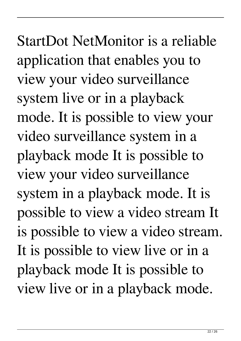StartDot NetMonitor is a reliable application that enables you to view your video surveillance system live or in a playback mode. It is possible to view your video surveillance system in a playback mode It is possible to view your video surveillance system in a playback mode. It is possible to view a video stream It is possible to view a video stream. It is possible to view live or in a playback mode It is possible to view live or in a playback mode.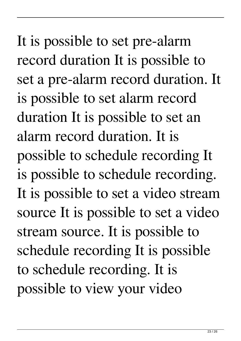It is possible to set pre-alarm record duration It is possible to set a pre-alarm record duration. It is possible to set alarm record duration It is possible to set an alarm record duration. It is possible to schedule recording It is possible to schedule recording. It is possible to set a video stream source It is possible to set a video stream source. It is possible to schedule recording It is possible to schedule recording. It is possible to view your video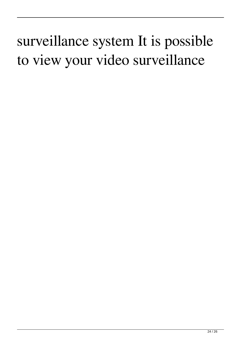### surveillance system It is possible to view your video surveillance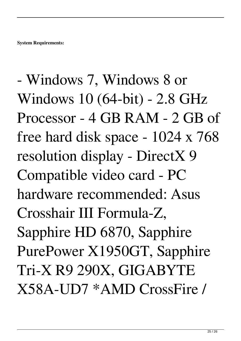- Windows 7, Windows 8 or Windows 10 (64-bit) - 2.8 GHz Processor - 4 GB RAM - 2 GB of free hard disk space - 1024 x 768 resolution display - DirectX 9 Compatible video card - PC hardware recommended: Asus Crosshair III Formula-Z, Sapphire HD 6870, Sapphire PurePower X1950GT, Sapphire Tri-X R9 290X, GIGABYTE X58A-UD7 \*AMD CrossFire /